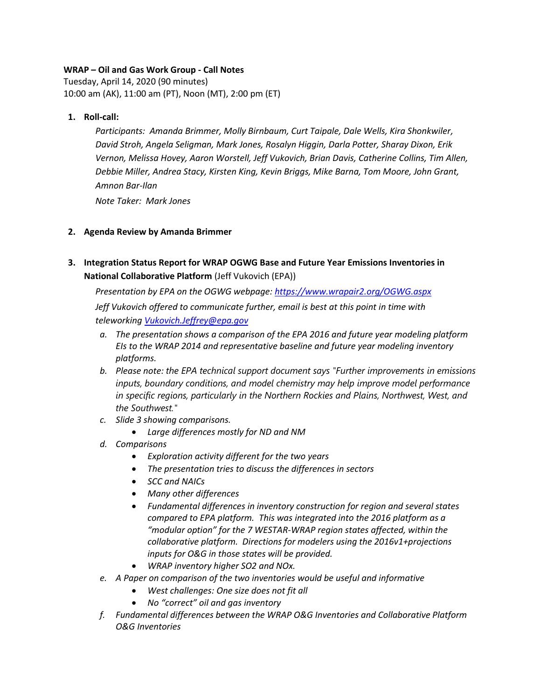# **WRAP – Oil and Gas Work Group - Call Notes**

Tuesday, April 14, 2020 (90 minutes) 10:00 am (AK), 11:00 am (PT), Noon (MT), 2:00 pm (ET)

## **1. Roll-call:**

*Participants: Amanda Brimmer, Molly Birnbaum, Curt Taipale, Dale Wells, Kira Shonkwiler, David Stroh, Angela Seligman, Mark Jones, Rosalyn Higgin, Darla Potter, Sharay Dixon, Erik Vernon, Melissa Hovey, Aaron Worstell, Jeff Vukovich, Brian Davis, Catherine Collins, Tim Allen, Debbie Miller, Andrea Stacy, Kirsten King, Kevin Briggs, Mike Barna, Tom Moore, John Grant, Amnon Bar-Ilan*

*Note Taker: Mark Jones*

# **2. Agenda Review by Amanda Brimmer**

**3. Integration Status Report for WRAP OGWG Base and Future Year Emissions Inventories in National Collaborative Platform** (Jeff Vukovich (EPA))

*Presentation by EPA on the OGWG webpage:<https://www.wrapair2.org/OGWG.aspx>*

*Jeff Vukovich offered to communicate further, email is best at this point in time with teleworking [Vukovich.Jeffrey@epa.gov](file:///C:/Users/TMoore/AppData/Local/Microsoft/Windows/INetCache/Content.Outlook/J95HSNHY/Vukovich.Jeffrey@epa.gov)*

- *a. The presentation shows a comparison of the EPA 2016 and future year modeling platform EIs to the WRAP 2014 and representative baseline and future year modeling inventory platforms.*
- *b. Please note: the EPA technical support document says "Further improvements in emissions inputs, boundary conditions, and model chemistry may help improve model performance in specific regions, particularly in the Northern Rockies and Plains, Northwest, West, and the Southwest."*
- *c. Slide 3 showing comparisons.*
	- *Large differences mostly for ND and NM*
- *d. Comparisons* 
	- *Exploration activity different for the two years*
	- *The presentation tries to discuss the differences in sectors*
	- *SCC and NAICs*
	- *Many other differences*
	- *Fundamental differences in inventory construction for region and several states compared to EPA platform. This was integrated into the 2016 platform as a "modular option" for the 7 WESTAR-WRAP region states affected, within the collaborative platform. Directions for modelers using the 2016v1+projections inputs for O&G in those states will be provided.*
	- *WRAP inventory higher SO2 and NOx.*
- *e. A Paper on comparison of the two inventories would be useful and informative*
	- *West challenges: One size does not fit all*
	- *No "correct" oil and gas inventory*
- *f. Fundamental differences between the WRAP O&G Inventories and Collaborative Platform O&G Inventories*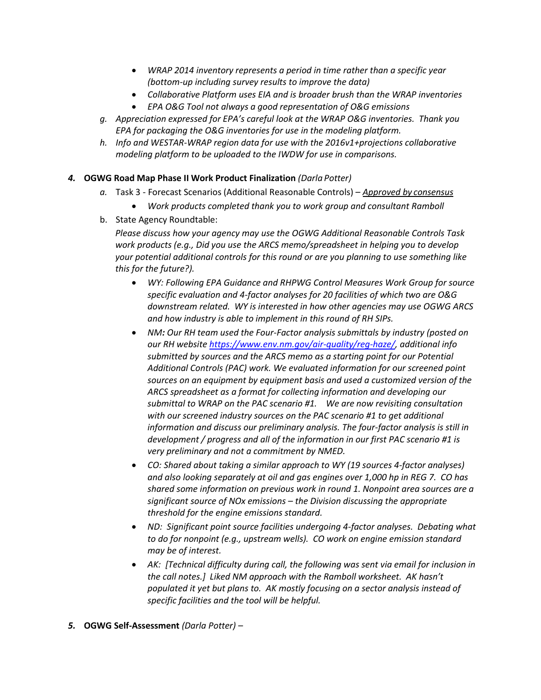- *WRAP 2014 inventory represents a period in time rather than a specific year (bottom-up including survey results to improve the data)*
- *Collaborative Platform uses EIA and is broader brush than the WRAP inventories*
- *EPA O&G Tool not always a good representation of O&G emissions*
- *g. Appreciation expressed for EPA's careful look at the WRAP O&G inventories. Thank you EPA for packaging the O&G inventories for use in the modeling platform.*
- *h. Info and WESTAR-WRAP region data for use with the 2016v1+projections collaborative modeling platform to be uploaded to the IWDW for use in comparisons.*

### *4.* **OGWG Road Map Phase II Work Product Finalization** *(Darla Potter)*

- *a.* Task 3 Forecast Scenarios (Additional Reasonable Controls) *Approved by consensus*
	- *Work products completed thank you to work group and consultant Ramboll*
- b. State Agency Roundtable:

*Please discuss how your agency may use the OGWG Additional Reasonable Controls Task work products (e.g., Did you use the ARCS memo/spreadsheet in helping you to develop your potential additional controls for this round or are you planning to use something like this for the future?).*

- *WY: Following EPA Guidance and RHPWG Control Measures Work Group for source specific evaluation and 4-factor analyses for 20 facilities of which two are O&G downstream related. WY is interested in how other agencies may use OGWG ARCS and how industry is able to implement in this round of RH SIPs.*
- NM: Our RH team used the Four-Factor analysis submittals by industry (posted on *our RH website [https://www.env.nm.gov/air-quality/reg-haze/,](https://www.env.nm.gov/air-quality/reg-haze/) additional info submitted by sources and the ARCS memo as a starting point for our Potential Additional Controls (PAC) work. We evaluated information for our screened point sources on an equipment by equipment basis and used a customized version of the ARCS spreadsheet as a format for collecting information and developing our submittal to WRAP on the PAC scenario #1. We are now revisiting consultation with our screened industry sources on the PAC scenario #1 to get additional information and discuss our preliminary analysis. The four-factor analysis is still in development / progress and all of the information in our first PAC scenario #1 is very preliminary and not a commitment by NMED.*
- *CO: Shared about taking a similar approach to WY (19 sources 4-factor analyses) and also looking separately at oil and gas engines over 1,000 hp in REG 7. CO has shared some information on previous work in round 1. Nonpoint area sources are a significant source of NOx emissions – the Division discussing the appropriate threshold for the engine emissions standard.*
- *ND: Significant point source facilities undergoing 4-factor analyses. Debating what to do for nonpoint (e.g., upstream wells). CO work on engine emission standard may be of interest.*
- *AK: [Technical difficulty during call, the following was sent via email for inclusion in the call notes.] Liked NM approach with the Ramboll worksheet. AK hasn't populated it yet but plans to. AK mostly focusing on a sector analysis instead of specific facilities and the tool will be helpful.*

#### *5.* **OGWG Self-Assessment** *(Darla Potter) –*